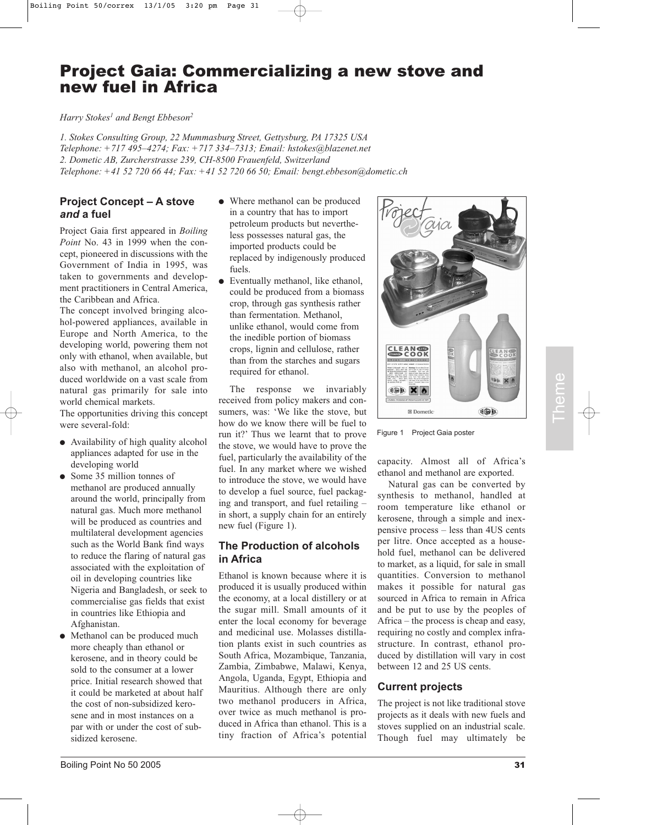# Project Gaia: Commercializing a new stove and new fuel in Africa

*Harry Stokes1 and Bengt Ebbeson2*

*1. Stokes Consulting Group, 22 Mummasburg Street, Gettysburg, PA 17325 USA Telephone: +717 495–4274; Fax: +717 334–7313; Email: hstokes@blazenet.net 2. Dometic AB, Zurcherstrasse 239, CH-8500 Frauenfeld, Switzerland Telephone: +41 52 720 66 44; Fax: +41 52 720 66 50; Email: bengt.ebbeson@dometic.ch*

## **Project Concept – A stove** *and* **a fuel**

Project Gaia first appeared in *Boiling Point* No. 43 in 1999 when the concept, pioneered in discussions with the Government of India in 1995, was taken to governments and development practitioners in Central America, the Caribbean and Africa.

The concept involved bringing alcohol-powered appliances, available in Europe and North America, to the developing world, powering them not only with ethanol, when available, but also with methanol, an alcohol produced worldwide on a vast scale from natural gas primarily for sale into world chemical markets.

The opportunities driving this concept were several-fold:

- Availability of high quality alcohol appliances adapted for use in the developing world
- Some 35 million tonnes of methanol are produced annually around the world, principally from natural gas. Much more methanol will be produced as countries and multilateral development agencies such as the World Bank find ways to reduce the flaring of natural gas associated with the exploitation of oil in developing countries like Nigeria and Bangladesh, or seek to commercialise gas fields that exist in countries like Ethiopia and Afghanistan.
- Methanol can be produced much more cheaply than ethanol or kerosene, and in theory could be sold to the consumer at a lower price. Initial research showed that it could be marketed at about half the cost of non-subsidized kerosene and in most instances on a par with or under the cost of subsidized kerosene.
- Where methanol can be produced in a country that has to import petroleum products but nevertheless possesses natural gas, the imported products could be replaced by indigenously produced fuels.
- Eventually methanol, like ethanol, could be produced from a biomass crop, through gas synthesis rather than fermentation. Methanol, unlike ethanol, would come from the inedible portion of biomass crops, lignin and cellulose, rather than from the starches and sugars required for ethanol.

The response we invariably received from policy makers and consumers, was: 'We like the stove, but how do we know there will be fuel to run it?' Thus we learnt that to prove the stove, we would have to prove the fuel, particularly the availability of the fuel. In any market where we wished to introduce the stove, we would have to develop a fuel source, fuel packaging and transport, and fuel retailing – in short, a supply chain for an entirely new fuel (Figure 1).

## **The Production of alcohols in Africa**

Ethanol is known because where it is produced it is usually produced within the economy, at a local distillery or at the sugar mill. Small amounts of it enter the local economy for beverage and medicinal use. Molasses distillation plants exist in such countries as South Africa, Mozambique, Tanzania, Zambia, Zimbabwe, Malawi, Kenya, Angola, Uganda, Egypt, Ethiopia and Mauritius. Although there are only two methanol producers in Africa, over twice as much methanol is produced in Africa than ethanol. This is a tiny fraction of Africa's potential



Figure 1 Project Gaia poster

capacity. Almost all of Africa's ethanol and methanol are exported.

Natural gas can be converted by synthesis to methanol, handled at room temperature like ethanol or kerosene, through a simple and inexpensive process – less than 4US cents per litre. Once accepted as a household fuel, methanol can be delivered to market, as a liquid, for sale in small quantities. Conversion to methanol makes it possible for natural gas sourced in Africa to remain in Africa and be put to use by the peoples of Africa – the process is cheap and easy, requiring no costly and complex infrastructure. In contrast, ethanol produced by distillation will vary in cost between 12 and 25 US cents.

# **Current projects**

The project is not like traditional stove projects as it deals with new fuels and stoves supplied on an industrial scale. Though fuel may ultimately be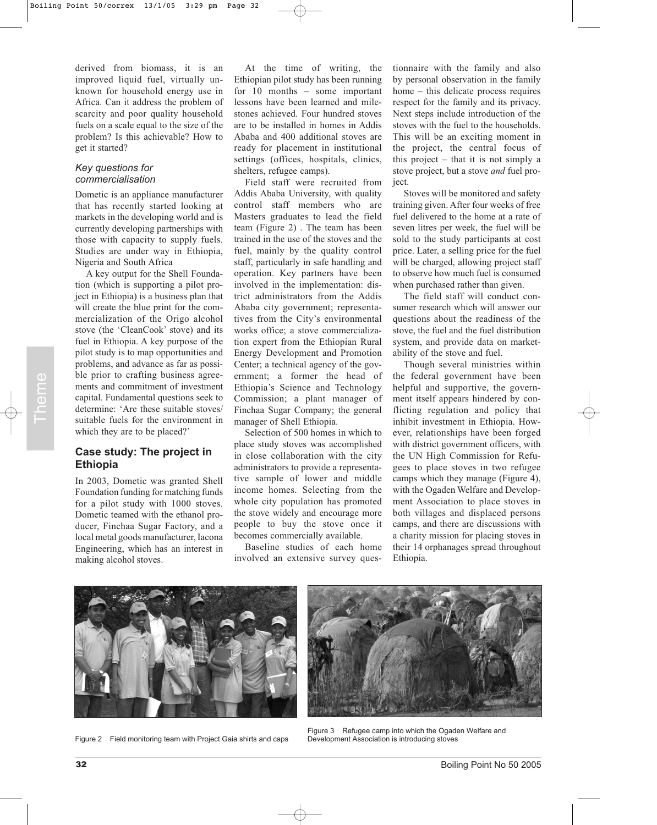derived from biomass, it is an improved liquid fuel, virtually unknown for household energy use in Africa. Can it address the problem of scarcity and poor quality household fuels on a scale equal to the size of the problem? Is this achievable? How to get it started?

#### *Key questions for commercialisation*

Dometic is an appliance manufacturer that has recently started looking at markets in the developing world and is currently developing partnerships with those with capacity to supply fuels. Studies are under way in Ethiopia, Nigeria and South Africa

A key output for the Shell Foundation (which is supporting a pilot project in Ethiopia) is a business plan that will create the blue print for the commercialization of the Origo alcohol stove (the 'CleanCook' stove) and its fuel in Ethiopia. A key purpose of the pilot study is to map opportunities and problems, and advance as far as possible prior to crafting business agreements and commitment of investment capital. Fundamental questions seek to determine: 'Are these suitable stoves/ suitable fuels for the environment in which they are to be placed?'

## **Case study: The project in Ethiopia**

In 2003, Dometic was granted Shell Foundation funding for matching funds for a pilot study with 1000 stoves. Dometic teamed with the ethanol producer, Finchaa Sugar Factory, and a local metal goods manufacturer, Iacona Engineering, which has an interest in making alcohol stoves.

At the time of writing, the Ethiopian pilot study has been running for 10 months – some important lessons have been learned and milestones achieved. Four hundred stoves are to be installed in homes in Addis Ababa and 400 additional stoves are ready for placement in institutional settings (offices, hospitals, clinics, shelters, refugee camps).

Field staff were recruited from Addis Ababa University, with quality control staff members who are Masters graduates to lead the field team (Figure 2) . The team has been trained in the use of the stoves and the fuel, mainly by the quality control staff, particularly in safe handling and operation. Key partners have been involved in the implementation: district administrators from the Addis Ababa city government; representatives from the City's environmental works office; a stove commercialization expert from the Ethiopian Rural Energy Development and Promotion Center; a technical agency of the government; a former the head of Ethiopia's Science and Technology Commission; a plant manager of Finchaa Sugar Company; the general manager of Shell Ethiopia.

Selection of 500 homes in which to place study stoves was accomplished in close collaboration with the city administrators to provide a representative sample of lower and middle income homes. Selecting from the whole city population has promoted the stove widely and encourage more people to buy the stove once it becomes commercially available.

Baseline studies of each home involved an extensive survey ques-

tionnaire with the family and also by personal observation in the family home – this delicate process requires respect for the family and its privacy. Next steps include introduction of the stoves with the fuel to the households. This will be an exciting moment in the project, the central focus of this project – that it is not simply a stove project, but a stove *and* fuel project.

Stoves will be monitored and safety training given. After four weeks of free fuel delivered to the home at a rate of seven litres per week, the fuel will be sold to the study participants at cost price. Later, a selling price for the fuel will be charged, allowing project staff to observe how much fuel is consumed when purchased rather than given.

The field staff will conduct consumer research which will answer our questions about the readiness of the stove, the fuel and the fuel distribution system, and provide data on marketability of the stove and fuel.

Though several ministries within the federal government have been helpful and supportive, the government itself appears hindered by conflicting regulation and policy that inhibit investment in Ethiopia. However, relationships have been forged with district government officers, with the UN High Commission for Refugees to place stoves in two refugee camps which they manage (Figure 4), with the Ogaden Welfare and Development Association to place stoves in both villages and displaced persons camps, and there are discussions with a charity mission for placing stoves in their 14 orphanages spread throughout Ethiopia.

Figure 2 Field monitoring team with Project Gaia shirts and caps